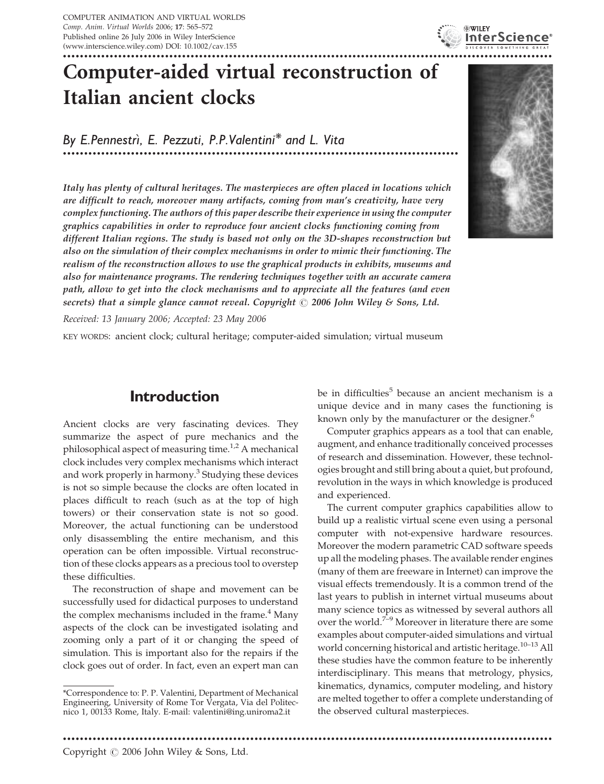

# Computer-aided virtual reconstruction of Italian ancient clocks

By E.Pennestrì, E. Pezzuti, P.P.Valentini\* and L. Vita \*\*\*\*\*\*\*\*\*\*\*\*\*\*\*\*\*\*\*\*\*\*\*\*\*\*\*\*\*\*\*\*\*\*\*\*\*\*\*\*\*\*\*\*\*\*\*\*\*\*\*\*\*\*\*\*\*\*\*\*\*\*\*\*\*\*\*\*\*\*\*\*\*\*\*\*\*\*\*\*\*\*\*\*\*\*\*\*\*\*\*\*\*

Italy has plenty of cultural heritages. The masterpieces are often placed in locations which are difficult to reach, moreover many artifacts, coming from man's creativity, have very complex functioning. The authors of this paper describe their experience in using the computer graphics capabilities in order to reproduce four ancient clocks functioning coming from different Italian regions. The study is based not only on the 3D-shapes reconstruction but also on the simulation of their complex mechanisms in order to mimic their functioning. The realism of the reconstruction allows to use the graphical products in exhibits, museums and also for maintenance programs. The rendering techniques together with an accurate camera path, allow to get into the clock mechanisms and to appreciate all the features (and even secrets) that a simple glance cannot reveal. Copyright  $\odot$  2006 John Wiley & Sons, Ltd.

Received: 13 January 2006; Accepted: 23 May 2006

KEY WORDS: ancient clock; cultural heritage; computer-aided simulation; virtual museum



#### Introduction

Ancient clocks are very fascinating devices. They summarize the aspect of pure mechanics and the philosophical aspect of measuring time.<sup>1,2</sup> A mechanical clock includes very complex mechanisms which interact and work properly in harmony.<sup>3</sup> Studying these devices is not so simple because the clocks are often located in places difficult to reach (such as at the top of high towers) or their conservation state is not so good. Moreover, the actual functioning can be understood only disassembling the entire mechanism, and this operation can be often impossible. Virtual reconstruction of these clocks appears as a precious tool to overstep these difficulties.

The reconstruction of shape and movement can be successfully used for didactical purposes to understand the complex mechanisms included in the frame. $4$  Many aspects of the clock can be investigated isolating and zooming only a part of it or changing the speed of simulation. This is important also for the repairs if the clock goes out of order. In fact, even an expert man can

be in difficulties<sup>5</sup> because an ancient mechanism is a unique device and in many cases the functioning is known only by the manufacturer or the designer.<sup>6</sup>

Computer graphics appears as a tool that can enable, augment, and enhance traditionally conceived processes of research and dissemination. However, these technologies brought and still bring about a quiet, but profound, revolution in the ways in which knowledge is produced and experienced.

The current computer graphics capabilities allow to build up a realistic virtual scene even using a personal computer with not-expensive hardware resources. Moreover the modern parametric CAD software speeds up all the modeling phases. The available render engines (many of them are freeware in Internet) can improve the visual effects tremendously. It is a common trend of the last years to publish in internet virtual museums about many science topics as witnessed by several authors all over the world.<sup>7–9</sup> Moreover in literature there are some examples about computer-aided simulations and virtual world concerning historical and artistic heritage.<sup>10-13</sup> All these studies have the common feature to be inherently interdisciplinary. This means that metrology, physics, kinematics, dynamics, computer modeling, and history are melted together to offer a complete understanding of the observed cultural masterpieces.

\*\*\*\*\*\*\*\*\*\*\*\*\*\*\*\*\*\*\*\*\*\*\*\*\*\*\*\*\*\*\*\*\*\*\*\*\*\*\*\*\*\*\*\*\*\*\*\*\*\*\*\*\*\*\*\*\*\*\*\*\*\*\*\*\*\*\*\*\*\*\*\*\*\*\*\*\*\*\*\*\*\*\*\*\*\*\*\*\*\*\*\*\*\*\*\*\*\*\*\*\*\*\*\*\*\*\*\*\*\*\*\*\*\*\*

Copyright  $\odot$  2006 John Wiley & Sons, Ltd.

<sup>\*</sup>Correspondence to: P. P. Valentini, Department of Mechanical Engineering, University of Rome Tor Vergata, Via del Politecnico 1, 00133 Rome, Italy. E-mail: valentini@ing.uniroma2.it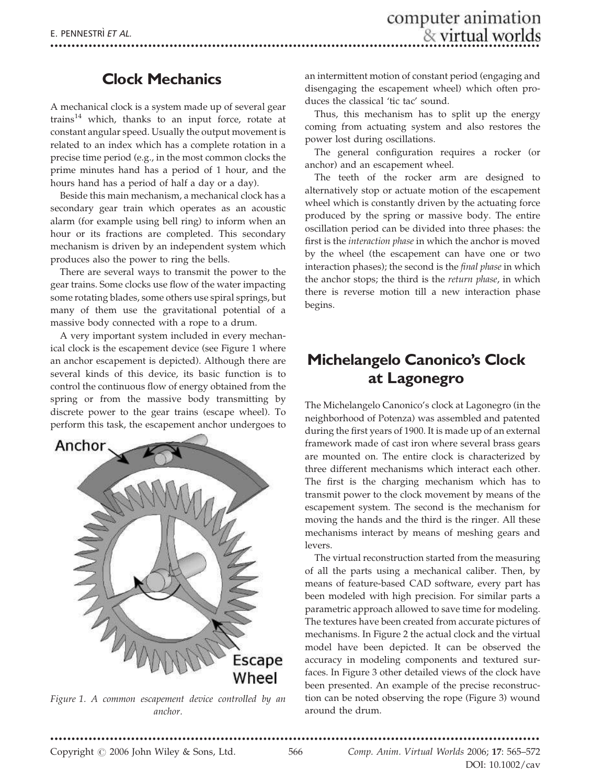# Clock Mechanics

A mechanical clock is a system made up of several gear trains<sup>14</sup> which, thanks to an input force, rotate at constant angular speed. Usually the output movement is related to an index which has a complete rotation in a precise time period (e.g., in the most common clocks the prime minutes hand has a period of 1 hour, and the hours hand has a period of half a day or a day).

Beside this main mechanism, a mechanical clock has a secondary gear train which operates as an acoustic alarm (for example using bell ring) to inform when an hour or its fractions are completed. This secondary mechanism is driven by an independent system which produces also the power to ring the bells.

There are several ways to transmit the power to the gear trains. Some clocks use flow of the water impacting some rotating blades, some others use spiral springs, but many of them use the gravitational potential of a massive body connected with a rope to a drum.

A very important system included in every mechanical clock is the escapement device (see Figure 1 where an anchor escapement is depicted). Although there are several kinds of this device, its basic function is to control the continuous flow of energy obtained from the spring or from the massive body transmitting by discrete power to the gear trains (escape wheel). To perform this task, the escapement anchor undergoes to



Figure 1. A common escapement device controlled by an anchor.

an intermittent motion of constant period (engaging and disengaging the escapement wheel) which often produces the classical 'tic tac' sound.

Thus, this mechanism has to split up the energy coming from actuating system and also restores the power lost during oscillations.

The general configuration requires a rocker (or anchor) and an escapement wheel.

The teeth of the rocker arm are designed to alternatively stop or actuate motion of the escapement wheel which is constantly driven by the actuating force produced by the spring or massive body. The entire oscillation period can be divided into three phases: the first is the interaction phase in which the anchor is moved by the wheel (the escapement can have one or two interaction phases); the second is the final phase in which the anchor stops; the third is the return phase, in which there is reverse motion till a new interaction phase begins.

### Michelangelo Canonico's Clock at Lagonegro

The Michelangelo Canonico's clock at Lagonegro (in the neighborhood of Potenza) was assembled and patented during the first years of 1900. It is made up of an external framework made of cast iron where several brass gears are mounted on. The entire clock is characterized by three different mechanisms which interact each other. The first is the charging mechanism which has to transmit power to the clock movement by means of the escapement system. The second is the mechanism for moving the hands and the third is the ringer. All these mechanisms interact by means of meshing gears and levers.

The virtual reconstruction started from the measuring of all the parts using a mechanical caliber. Then, by means of feature-based CAD software, every part has been modeled with high precision. For similar parts a parametric approach allowed to save time for modeling. The textures have been created from accurate pictures of mechanisms. In Figure 2 the actual clock and the virtual model have been depicted. It can be observed the accuracy in modeling components and textured surfaces. In Figure 3 other detailed views of the clock have been presented. An example of the precise reconstruction can be noted observing the rope (Figure 3) wound around the drum.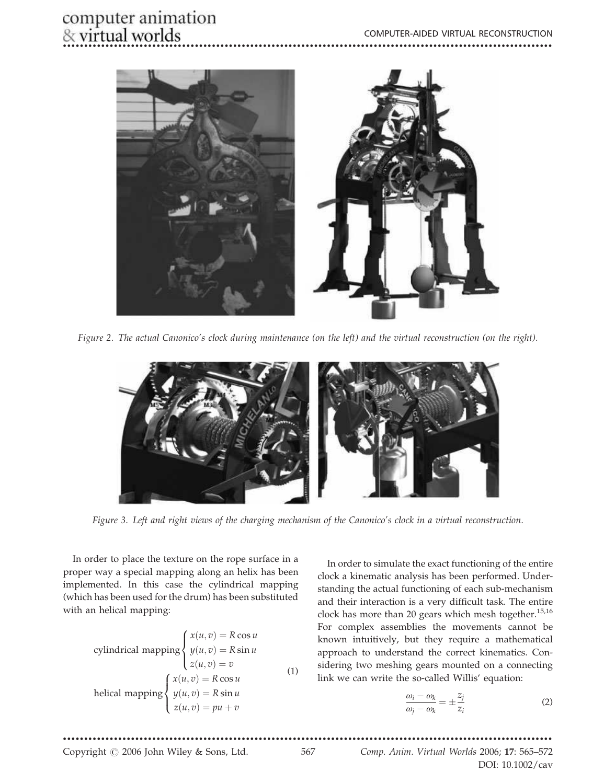

Figure 2. The actual Canonico's clock during maintenance (on the left) and the virtual reconstruction (on the right).



Figure 3. Left and right views of the charging mechanism of the Canonico's clock in a virtual reconstruction.

In order to place the texture on the rope surface in a proper way a special mapping along an helix has been implemented. In this case the cylindrical mapping (which has been used for the drum) has been substituted with an helical mapping:

cylindrical mapping 
$$
\begin{cases} x(u,v) = R \cos u \\ y(u,v) = R \sin u \\ z(u,v) = v \end{cases}
$$
 (1)  
helical mapping 
$$
\begin{cases} x(u,v) = R \cos u \\ y(u,v) = R \sin u \\ z(u,v) = pu + v \end{cases}
$$

In order to simulate the exact functioning of the entire clock a kinematic analysis has been performed. Understanding the actual functioning of each sub-mechanism and their interaction is a very difficult task. The entire clock has more than 20 gears which mesh together.<sup>15,16</sup> For complex assemblies the movements cannot be known intuitively, but they require a mathematical approach to understand the correct kinematics. Considering two meshing gears mounted on a connecting link we can write the so-called Willis' equation:

$$
\frac{\omega_i - \omega_k}{\omega_j - \omega_k} = \pm \frac{z_j}{z_i} \tag{2}
$$

#### Copyright © 2006 John Wiley & Sons, Ltd.

#### Comp. Anim. Virtual Worlds 2006; 17: 565-572 DOI: 10.1002/cav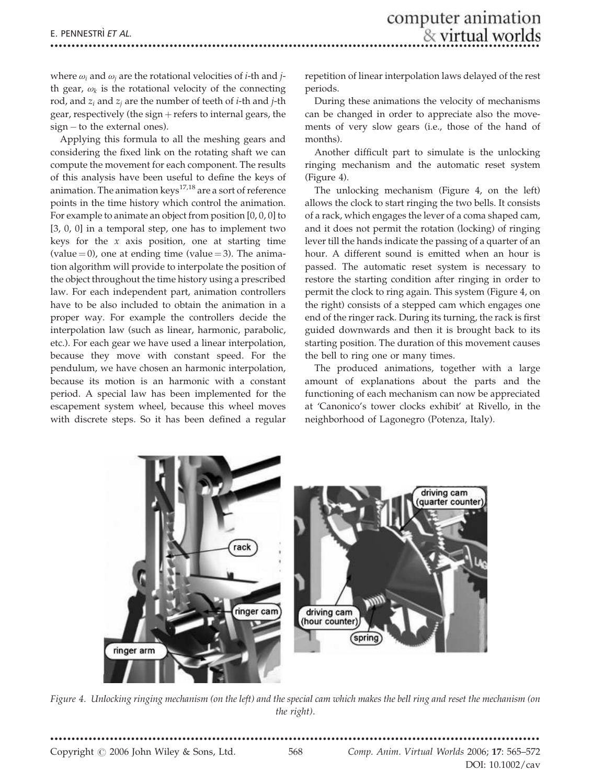where  $\omega_i$  and  $\omega_j$  are the rotational velocities of *i*-th and *j*th gear,  $\omega_k$  is the rotational velocity of the connecting rod, and  $z_i$  and  $z_j$  are the number of teeth of *i*-th and *j*-th gear, respectively (the sign  $+$  refers to internal gears, the  $sign - to the external ones.$ 

Applying this formula to all the meshing gears and considering the fixed link on the rotating shaft we can compute the movement for each component. The results of this analysis have been useful to define the keys of animation. The animation keys $17,18$  are a sort of reference points in the time history which control the animation. For example to animate an object from position [0, 0, 0] to [3, 0, 0] in a temporal step, one has to implement two keys for the  $x$  axis position, one at starting time (value  $= 0$ ), one at ending time (value  $= 3$ ). The animation algorithm will provide to interpolate the position of the object throughout the time history using a prescribed law. For each independent part, animation controllers have to be also included to obtain the animation in a proper way. For example the controllers decide the interpolation law (such as linear, harmonic, parabolic, etc.). For each gear we have used a linear interpolation, because they move with constant speed. For the pendulum, we have chosen an harmonic interpolation, because its motion is an harmonic with a constant period. A special law has been implemented for the escapement system wheel, because this wheel moves with discrete steps. So it has been defined a regular repetition of linear interpolation laws delayed of the rest periods.

During these animations the velocity of mechanisms can be changed in order to appreciate also the movements of very slow gears (i.e., those of the hand of months).

Another difficult part to simulate is the unlocking ringing mechanism and the automatic reset system (Figure 4).

The unlocking mechanism (Figure 4, on the left) allows the clock to start ringing the two bells. It consists of a rack, which engages the lever of a coma shaped cam, and it does not permit the rotation (locking) of ringing lever till the hands indicate the passing of a quarter of an hour. A different sound is emitted when an hour is passed. The automatic reset system is necessary to restore the starting condition after ringing in order to permit the clock to ring again. This system (Figure 4, on the right) consists of a stepped cam which engages one end of the ringer rack. During its turning, the rack is first guided downwards and then it is brought back to its starting position. The duration of this movement causes the bell to ring one or many times.

The produced animations, together with a large amount of explanations about the parts and the functioning of each mechanism can now be appreciated at 'Canonico's tower clocks exhibit' at Rivello, in the neighborhood of Lagonegro (Potenza, Italy).



Figure 4. Unlocking ringing mechanism (on the left) and the special cam which makes the bell ring and reset the mechanism (on the right).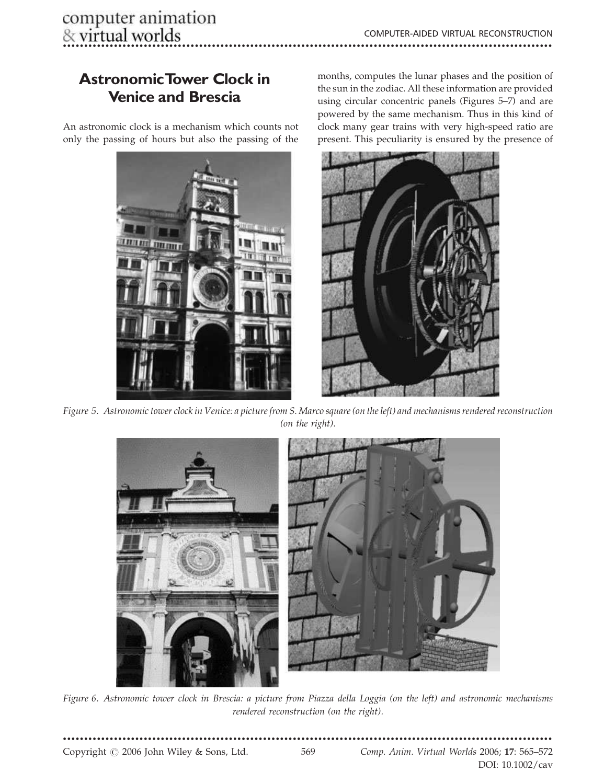# **AstronomicTower Clock in Venice and Brescia**

An astronomic clock is a mechanism which counts not only the passing of hours but also the passing of the



months, computes the lunar phases and the position of the sun in the zodiac. All these information are provided using circular concentric panels (Figures 5-7) and are powered by the same mechanism. Thus in this kind of clock many gear trains with very high-speed ratio are present. This peculiarity is ensured by the presence of



Figure 5. Astronomic tower clock in Venice: a picture from S. Marco square (on the left) and mechanisms rendered reconstruction (on the right).



Figure 6. Astronomic tower clock in Brescia: a picture from Piazza della Loggia (on the left) and astronomic mechanisms rendered reconstruction (on the right).

\_\_\_\_\_\_\_\_\_\_\_\_\_\_\_\_\_\_\_\_\_\_\_\_\_\_\_\_\_\_\_\_\_\_\_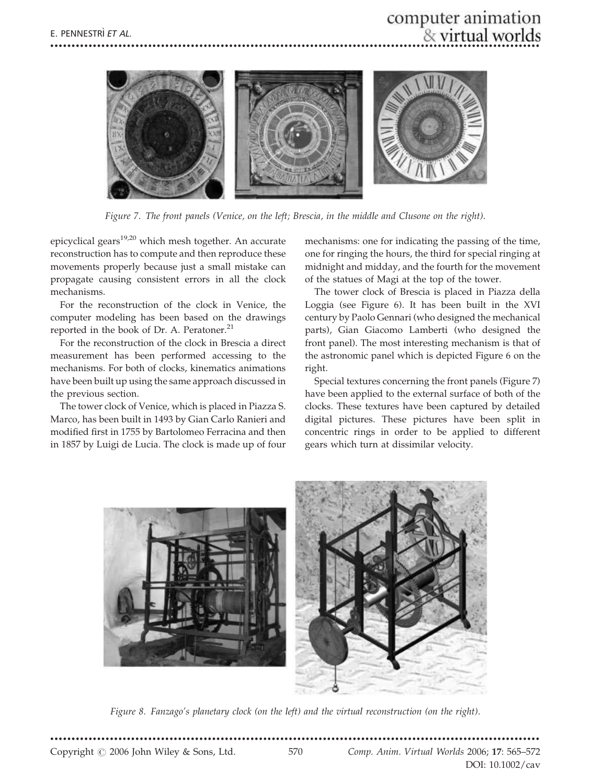

Figure 7. The front panels (Venice, on the left; Brescia, in the middle and Clusone on the right).

epicyclical gears<sup>19,20</sup> which mesh together. An accurate reconstruction has to compute and then reproduce these movements properly because just a small mistake can propagate causing consistent errors in all the clock mechanisms.

For the reconstruction of the clock in Venice, the computer modeling has been based on the drawings reported in the book of Dr. A. Peratoner.<sup>21</sup>

For the reconstruction of the clock in Brescia a direct measurement has been performed accessing to the mechanisms. For both of clocks, kinematics animations have been built up using the same approach discussed in the previous section.

The tower clock of Venice, which is placed in Piazza S. Marco, has been built in 1493 by Gian Carlo Ranieri and modified first in 1755 by Bartolomeo Ferracina and then in 1857 by Luigi de Lucia. The clock is made up of four mechanisms: one for indicating the passing of the time, one for ringing the hours, the third for special ringing at midnight and midday, and the fourth for the movement of the statues of Magi at the top of the tower.

The tower clock of Brescia is placed in Piazza della Loggia (see Figure 6). It has been built in the XVI century by Paolo Gennari (who designed the mechanical parts), Gian Giacomo Lamberti (who designed the front panel). The most interesting mechanism is that of the astronomic panel which is depicted Figure 6 on the right.

Special textures concerning the front panels (Figure 7) have been applied to the external surface of both of the clocks. These textures have been captured by detailed digital pictures. These pictures have been split in concentric rings in order to be applied to different gears which turn at dissimilar velocity.



Figure 8. Fanzago's planetary clock (on the left) and the virtual reconstruction (on the right).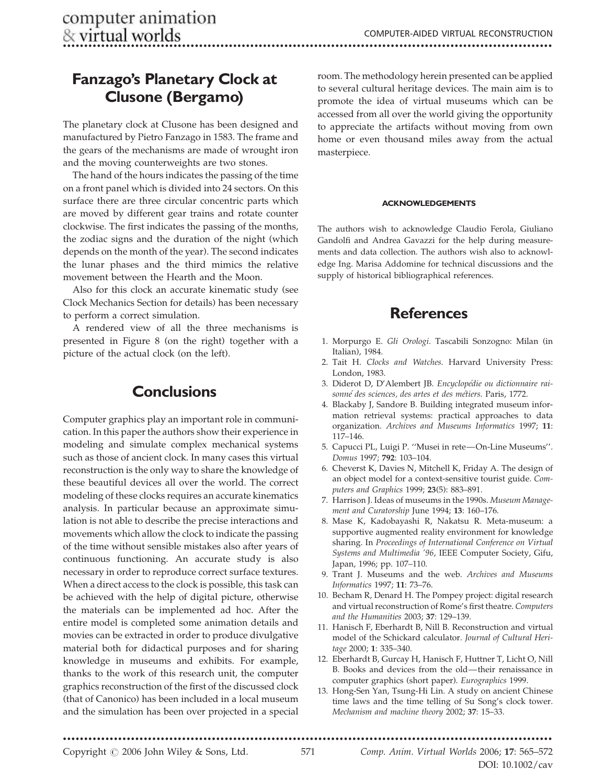# Fanzago's Planetary Clock at Clusone (Bergamo)

The planetary clock at Clusone has been designed and manufactured by Pietro Fanzago in 1583. The frame and the gears of the mechanisms are made of wrought iron and the moving counterweights are two stones.

The hand of the hours indicates the passing of the time on a front panel which is divided into 24 sectors. On this surface there are three circular concentric parts which are moved by different gear trains and rotate counter clockwise. The first indicates the passing of the months, the zodiac signs and the duration of the night (which depends on the month of the year). The second indicates the lunar phases and the third mimics the relative movement between the Hearth and the Moon.

Also for this clock an accurate kinematic study (see Clock Mechanics Section for details) has been necessary to perform a correct simulation.

A rendered view of all the three mechanisms is presented in Figure 8 (on the right) together with a picture of the actual clock (on the left).

### **Conclusions**

Computer graphics play an important role in communication. In this paper the authors show their experience in modeling and simulate complex mechanical systems such as those of ancient clock. In many cases this virtual reconstruction is the only way to share the knowledge of these beautiful devices all over the world. The correct modeling of these clocks requires an accurate kinematics analysis. In particular because an approximate simulation is not able to describe the precise interactions and movements which allow the clock to indicate the passing of the time without sensible mistakes also after years of continuous functioning. An accurate study is also necessary in order to reproduce correct surface textures. When a direct access to the clock is possible, this task can be achieved with the help of digital picture, otherwise the materials can be implemented ad hoc. After the entire model is completed some animation details and movies can be extracted in order to produce divulgative material both for didactical purposes and for sharing knowledge in museums and exhibits. For example, thanks to the work of this research unit, the computer graphics reconstruction of the first of the discussed clock (that of Canonico) has been included in a local museum and the simulation has been over projected in a special

room. The methodology herein presented can be applied to several cultural heritage devices. The main aim is to promote the idea of virtual museums which can be accessed from all over the world giving the opportunity to appreciate the artifacts without moving from own home or even thousand miles away from the actual masterpiece.

#### ACKNOWLEDGEMENTS

The authors wish to acknowledge Claudio Ferola, Giuliano Gandolfi and Andrea Gavazzi for the help during measurements and data collection. The authors wish also to acknowledge Ing. Marisa Addomine for technical discussions and the supply of historical bibliographical references.

### **References**

- 1. Morpurgo E. Gli Orologi. Tascabili Sonzogno: Milan (in Italian), 1984.
- 2. Tait H. Clocks and Watches. Harvard University Press: London, 1983.
- 3. Diderot D, D'Alembert JB. Encyclopédie ou dictionnaire raisonné des sciences, des artes et des métiers. Paris, 1772.
- 4. Blackaby J, Sandore B. Building integrated museum information retrieval systems: practical approaches to data organization. Archives and Museums Informatics 1997; 11: 117–146.
- 5. Capucci PL, Luigi P. ''Musei in rete—On-Line Museums''. Domus 1997; 792: 103–104.
- 6. Cheverst K, Davies N, Mitchell K, Friday A. The design of an object model for a context-sensitive tourist guide. Computers and Graphics 1999; 23(5): 883–891.
- 7. Harrison J. Ideas of museums in the 1990s. Museum Management and Curatorship June 1994; 13: 160–176.
- 8. Mase K, Kadobayashi R, Nakatsu R. Meta-museum: a supportive augmented reality environment for knowledge sharing. In Proceedings of International Conference on Virtual Systems and Multimedia '96, IEEE Computer Society, Gifu, Japan, 1996; pp. 107–110.
- 9. Trant J. Museums and the web. Archives and Museums Informatics 1997; 11: 73–76.
- 10. Becham R, Denard H. The Pompey project: digital research and virtual reconstruction of Rome's first theatre. Computers and the Humanities 2003; 37: 129–139.
- 11. Hanisch F, Eberhardt B, Nill B. Reconstruction and virtual model of the Schickard calculator. Journal of Cultural Heritage 2000; 1: 335–340.
- 12. Eberhardt B, Gurcay H, Hanisch F, Huttner T, Licht O, Nill B. Books and devices from the old— their renaissance in computer graphics (short paper). Eurographics 1999.
- 13. Hong-Sen Yan, Tsung-Hi Lin. A study on ancient Chinese time laws and the time telling of Su Song's clock tower. Mechanism and machine theory 2002; 37: 15–33.

\*\*\*\*\*\*\*\*\*\*\*\*\*\*\*\*\*\*\*\*\*\*\*\*\*\*\*\*\*\*\*\*\*\*\*\*\*\*\*\*\*\*\*\*\*\*\*\*\*\*\*\*\*\*\*\*\*\*\*\*\*\*\*\*\*\*\*\*\*\*\*\*\*\*\*\*\*\*\*\*\*\*\*\*\*\*\*\*\*\*\*\*\*\*\*\*\*\*\*\*\*\*\*\*\*\*\*\*\*\*\*\*\*\*\*